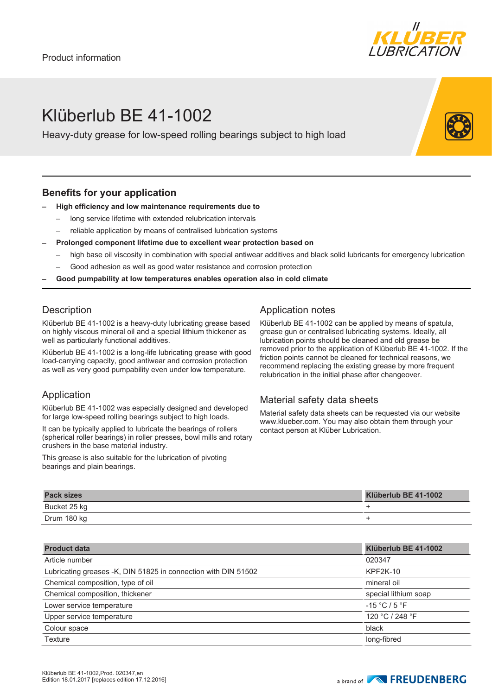

# Klüberlub BE 41-1002

Heavy-duty grease for low-speed rolling bearings subject to high load

#### **Benefits for your application**

#### **– High efficiency and low maintenance requirements due to**

- long service lifetime with extended relubrication intervals
- reliable application by means of centralised lubrication systems
- **– Prolonged component lifetime due to excellent wear protection based on**
- high base oil viscosity in combination with special antiwear additives and black solid lubricants for emergency lubrication
- Good adhesion as well as good water resistance and corrosion protection
- **– Good pumpability at low temperatures enables operation also in cold climate**

#### **Description**

Klüberlub BE 41-1002 is a heavy-duty lubricating grease based on highly viscous mineral oil and a special lithium thickener as well as particularly functional additives.

Klüberlub BE 41-1002 is a long-life lubricating grease with good load-carrying capacity, good antiwear and corrosion protection as well as very good pumpability even under low temperature.

### Application

Klüberlub BE 41-1002 was especially designed and developed for large low-speed rolling bearings subject to high loads.

It can be typically applied to lubricate the bearings of rollers (spherical roller bearings) in roller presses, bowl mills and rotary crushers in the base material industry.

This grease is also suitable for the lubrication of pivoting bearings and plain bearings.

### Application notes

Klüberlub BE 41-1002 can be applied by means of spatula, grease gun or centralised lubricating systems. Ideally, all lubrication points should be cleaned and old grease be removed prior to the application of Klüberlub BE 41-1002. If the friction points cannot be cleaned for technical reasons, we recommend replacing the existing grease by more frequent relubrication in the initial phase after changeover.

### Material safety data sheets

Material safety data sheets can be requested via our website www.klueber.com. You may also obtain them through your contact person at Klüber Lubrication.

| <b>Pack sizes</b> | Klüberlub BE 41-1002 |
|-------------------|----------------------|
| Bucket 25 kg      |                      |
| Drum 180 kg       |                      |

| <b>Product data</b>                                            | Klüberlub BE 41-1002 |
|----------------------------------------------------------------|----------------------|
| Article number                                                 | 020347               |
| Lubricating greases -K, DIN 51825 in connection with DIN 51502 | <b>KPF2K-10</b>      |
| Chemical composition, type of oil                              | mineral oil          |
| Chemical composition, thickener                                | special lithium soap |
| Lower service temperature                                      | $-15 °C / 5 °F$      |
| Upper service temperature                                      | 120 °C / 248 °F      |
| Colour space                                                   | black                |
| Texture                                                        | long-fibred          |